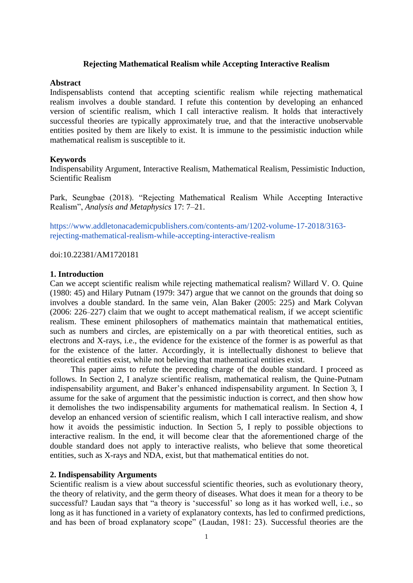## **Rejecting Mathematical Realism while Accepting Interactive Realism**

## **Abstract**

Indispensablists contend that accepting scientific realism while rejecting mathematical realism involves a double standard. I refute this contention by developing an enhanced version of scientific realism, which I call interactive realism. It holds that interactively successful theories are typically approximately true, and that the interactive unobservable entities posited by them are likely to exist. It is immune to the pessimistic induction while mathematical realism is susceptible to it.

#### **Keywords**

Indispensability Argument, Interactive Realism, Mathematical Realism, Pessimistic Induction, Scientific Realism

Park, Seungbae (2018). "Rejecting Mathematical Realism While Accepting Interactive Realism", *Analysis and Metaphysics* 17: 7–21.

[https://www.addletonacademicpublishers.com/contents-am/1202-volume-17-2018/3163](https://www.addletonacademicpublishers.com/contents-am/1202-volume-17-2018/3163-rejecting-mathematical-realism-while-accepting-interactive-realism) [rejecting-mathematical-realism-while-accepting-interactive-realism](https://www.addletonacademicpublishers.com/contents-am/1202-volume-17-2018/3163-rejecting-mathematical-realism-while-accepting-interactive-realism)

doi:10.22381/AM1720181

#### **1. Introduction**

Can we accept scientific realism while rejecting mathematical realism? Willard V. O. Quine (1980: 45) and Hilary Putnam (1979: 347) argue that we cannot on the grounds that doing so involves a double standard. In the same vein, Alan Baker (2005: 225) and Mark Colyvan (2006: 226–227) claim that we ought to accept mathematical realism, if we accept scientific realism. These eminent philosophers of mathematics maintain that mathematical entities, such as numbers and circles, are epistemically on a par with theoretical entities, such as electrons and X-rays, i.e., the evidence for the existence of the former is as powerful as that for the existence of the latter. Accordingly, it is intellectually dishonest to believe that theoretical entities exist, while not believing that mathematical entities exist.

This paper aims to refute the preceding charge of the double standard. I proceed as follows. In Section 2, I analyze scientific realism, mathematical realism, the Quine-Putnam indispensability argument, and Baker's enhanced indispensability argument. In Section 3, I assume for the sake of argument that the pessimistic induction is correct, and then show how it demolishes the two indispensability arguments for mathematical realism. In Section 4, I develop an enhanced version of scientific realism, which I call interactive realism, and show how it avoids the pessimistic induction. In Section 5, I reply to possible objections to interactive realism. In the end, it will become clear that the aforementioned charge of the double standard does not apply to interactive realists, who believe that some theoretical entities, such as X-rays and NDA, exist, but that mathematical entities do not.

# **2. Indispensability Arguments**

Scientific realism is a view about successful scientific theories, such as evolutionary theory, the theory of relativity, and the germ theory of diseases. What does it mean for a theory to be successful? Laudan says that "a theory is 'successful' so long as it has worked well, i.e., so long as it has functioned in a variety of explanatory contexts, has led to confirmed predictions, and has been of broad explanatory scope" (Laudan, 1981: 23). Successful theories are the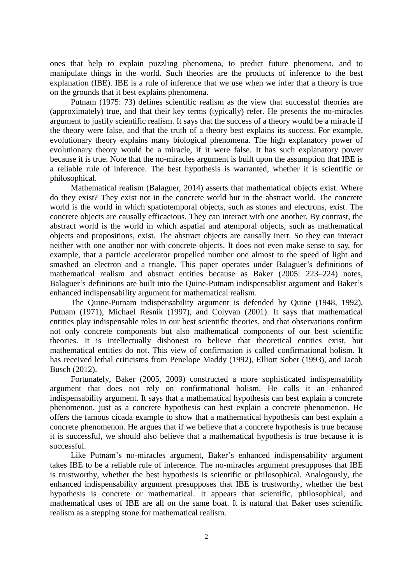ones that help to explain puzzling phenomena, to predict future phenomena, and to manipulate things in the world. Such theories are the products of inference to the best explanation (IBE). IBE is a rule of inference that we use when we infer that a theory is true on the grounds that it best explains phenomena.

Putnam (1975: 73) defines scientific realism as the view that successful theories are (approximately) true, and that their key terms (typically) refer. He presents the no-miracles argument to justify scientific realism. It says that the success of a theory would be a miracle if the theory were false, and that the truth of a theory best explains its success. For example, evolutionary theory explains many biological phenomena. The high explanatory power of evolutionary theory would be a miracle, if it were false. It has such explanatory power because it is true. Note that the no-miracles argument is built upon the assumption that IBE is a reliable rule of inference. The best hypothesis is warranted, whether it is scientific or philosophical.

Mathematical realism (Balaguer, 2014) asserts that mathematical objects exist. Where do they exist? They exist not in the concrete world but in the abstract world. The concrete world is the world in which spatiotemporal objects, such as stones and electrons, exist. The concrete objects are causally efficacious. They can interact with one another. By contrast, the abstract world is the world in which aspatial and atemporal objects, such as mathematical objects and propositions, exist. The abstract objects are causally inert. So they can interact neither with one another nor with concrete objects. It does not even make sense to say, for example, that a particle accelerator propelled number one almost to the speed of light and smashed an electron and a triangle. This paper operates under Balaguer's definitions of mathematical realism and abstract entities because as Baker (2005: 223–224) notes, Balaguer's definitions are built into the Quine-Putnam indispensablist argument and Baker's enhanced indispensability argument for mathematical realism.

The Quine-Putnam indispensability argument is defended by Quine (1948, 1992), Putnam (1971), Michael Resnik (1997), and Colyvan (2001). It says that mathematical entities play indispensable roles in our best scientific theories, and that observations confirm not only concrete components but also mathematical components of our best scientific theories. It is intellectually dishonest to believe that theoretical entities exist, but mathematical entities do not. This view of confirmation is called confirmational holism. It has received lethal criticisms from Penelope Maddy (1992), Elliott Sober (1993), and Jacob Busch (2012).

Fortunately, Baker (2005, 2009) constructed a more sophisticated indispensability argument that does not rely on confirmational holism. He calls it an enhanced indispensability argument. It says that a mathematical hypothesis can best explain a concrete phenomenon, just as a concrete hypothesis can best explain a concrete phenomenon. He offers the famous cicada example to show that a mathematical hypothesis can best explain a concrete phenomenon. He argues that if we believe that a concrete hypothesis is true because it is successful, we should also believe that a mathematical hypothesis is true because it is successful.

Like Putnam's no-miracles argument, Baker's enhanced indispensability argument takes IBE to be a reliable rule of inference. The no-miracles argument presupposes that IBE is trustworthy, whether the best hypothesis is scientific or philosophical. Analogously, the enhanced indispensability argument presupposes that IBE is trustworthy, whether the best hypothesis is concrete or mathematical. It appears that scientific, philosophical, and mathematical uses of IBE are all on the same boat. It is natural that Baker uses scientific realism as a stepping stone for mathematical realism.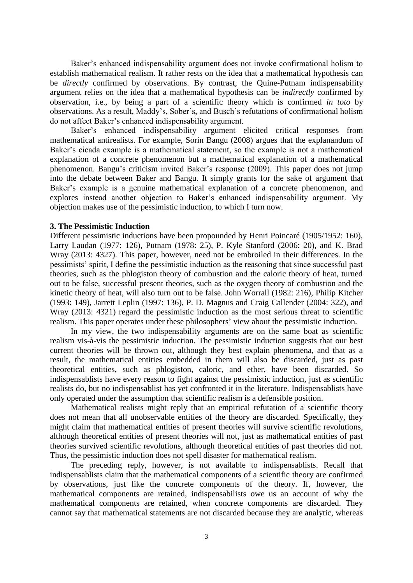Baker's enhanced indispensability argument does not invoke confirmational holism to establish mathematical realism. It rather rests on the idea that a mathematical hypothesis can be *directly* confirmed by observations. By contrast, the Quine-Putnam indispensability argument relies on the idea that a mathematical hypothesis can be *indirectly* confirmed by observation, i.e., by being a part of a scientific theory which is confirmed *in toto* by observations. As a result, Maddy's, Sober's, and Busch's refutations of confirmational holism do not affect Baker's enhanced indispensability argument.

Baker's enhanced indispensability argument elicited critical responses from mathematical antirealists. For example, Sorin Bangu (2008) argues that the explanandum of Baker's cicada example is a mathematical statement, so the example is not a mathematical explanation of a concrete phenomenon but a mathematical explanation of a mathematical phenomenon. Bangu's criticism invited Baker's response (2009). This paper does not jump into the debate between Baker and Bangu. It simply grants for the sake of argument that Baker's example is a genuine mathematical explanation of a concrete phenomenon, and explores instead another objection to Baker's enhanced indispensability argument. My objection makes use of the pessimistic induction, to which I turn now.

# **3. The Pessimistic Induction**

Different pessimistic inductions have been propounded by Henri Poincaré (1905/1952: 160), Larry Laudan (1977: 126), Putnam (1978: 25), P. Kyle Stanford (2006: 20), and K. Brad Wray (2013: 4327). This paper, however, need not be embroiled in their differences. In the pessimists' spirit, I define the pessimistic induction as the reasoning that since successful past theories, such as the phlogiston theory of combustion and the caloric theory of heat, turned out to be false, successful present theories, such as the oxygen theory of combustion and the kinetic theory of heat, will also turn out to be false. John Worrall (1982: 216), Philip Kitcher (1993: 149), Jarrett Leplin (1997: 136), P. D. Magnus and Craig Callender (2004: 322), and Wray (2013: 4321) regard the pessimistic induction as the most serious threat to scientific realism. This paper operates under these philosophers' view about the pessimistic induction.

 In my view, the two indispensability arguments are on the same boat as scientific realism vis-à-vis the pessimistic induction. The pessimistic induction suggests that our best current theories will be thrown out, although they best explain phenomena, and that as a result, the mathematical entities embedded in them will also be discarded, just as past theoretical entities, such as phlogiston, caloric, and ether, have been discarded. So indispensablists have every reason to fight against the pessimistic induction, just as scientific realists do, but no indispensablist has yet confronted it in the literature. Indispensablists have only operated under the assumption that scientific realism is a defensible position.

Mathematical realists might reply that an empirical refutation of a scientific theory does not mean that all unobservable entities of the theory are discarded. Specifically, they might claim that mathematical entities of present theories will survive scientific revolutions, although theoretical entities of present theories will not, just as mathematical entities of past theories survived scientific revolutions, although theoretical entities of past theories did not. Thus, the pessimistic induction does not spell disaster for mathematical realism.

 The preceding reply, however, is not available to indispensablists. Recall that indispensablists claim that the mathematical components of a scientific theory are confirmed by observations, just like the concrete components of the theory. If, however, the mathematical components are retained, indispensabilists owe us an account of why the mathematical components are retained, when concrete components are discarded. They cannot say that mathematical statements are not discarded because they are analytic, whereas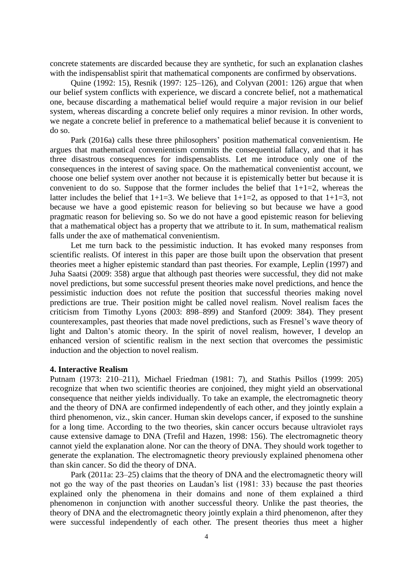concrete statements are discarded because they are synthetic, for such an explanation clashes with the indispensablist spirit that mathematical components are confirmed by observations.

Quine (1992: 15), Resnik (1997: 125–126), and Colyvan (2001: 126) argue that when our belief system conflicts with experience, we discard a concrete belief, not a mathematical one, because discarding a mathematical belief would require a major revision in our belief system, whereas discarding a concrete belief only requires a minor revision. In other words, we negate a concrete belief in preference to a mathematical belief because it is convenient to do so.

Park (2016a) calls these three philosophers' position mathematical convenientism. He argues that mathematical convenientism commits the consequential fallacy, and that it has three disastrous consequences for indispensablists. Let me introduce only one of the consequences in the interest of saving space. On the mathematical convenientist account, we choose one belief system over another not because it is epistemically better but because it is convenient to do so. Suppose that the former includes the belief that  $1+1=2$ , whereas the latter includes the belief that  $1+1=3$ . We believe that  $1+1=2$ , as opposed to that  $1+1=3$ , not because we have a good epistemic reason for believing so but because we have a good pragmatic reason for believing so. So we do not have a good epistemic reason for believing that a mathematical object has a property that we attribute to it. In sum, mathematical realism falls under the axe of mathematical convenientism.

Let me turn back to the pessimistic induction. It has evoked many responses from scientific realists. Of interest in this paper are those built upon the observation that present theories meet a higher epistemic standard than past theories. For example, Leplin (1997) and Juha Saatsi (2009: 358) argue that although past theories were successful, they did not make novel predictions, but some successful present theories make novel predictions, and hence the pessimistic induction does not refute the position that successful theories making novel predictions are true. Their position might be called novel realism. Novel realism faces the criticism from Timothy Lyons (2003: 898–899) and Stanford (2009: 384). They present counterexamples, past theories that made novel predictions, such as Fresnel's wave theory of light and Dalton's atomic theory. In the spirit of novel realism, however, I develop an enhanced version of scientific realism in the next section that overcomes the pessimistic induction and the objection to novel realism.

#### **4. Interactive Realism**

Putnam (1973: 210–211), Michael Friedman (1981: 7), and Stathis Psillos (1999: 205) recognize that when two scientific theories are conjoined, they might yield an observational consequence that neither yields individually. To take an example, the electromagnetic theory and the theory of DNA are confirmed independently of each other, and they jointly explain a third phenomenon, viz., skin cancer. Human skin develops cancer, if exposed to the sunshine for a long time. According to the two theories, skin cancer occurs because ultraviolet rays cause extensive damage to DNA (Trefil and Hazen, 1998: 156). The electromagnetic theory cannot yield the explanation alone. Nor can the theory of DNA. They should work together to generate the explanation. The electromagnetic theory previously explained phenomena other than skin cancer. So did the theory of DNA.

Park (2011a: 23–25) claims that the theory of DNA and the electromagnetic theory will not go the way of the past theories on Laudan's list (1981: 33) because the past theories explained only the phenomena in their domains and none of them explained a third phenomenon in conjunction with another successful theory. Unlike the past theories, the theory of DNA and the electromagnetic theory jointly explain a third phenomenon, after they were successful independently of each other. The present theories thus meet a higher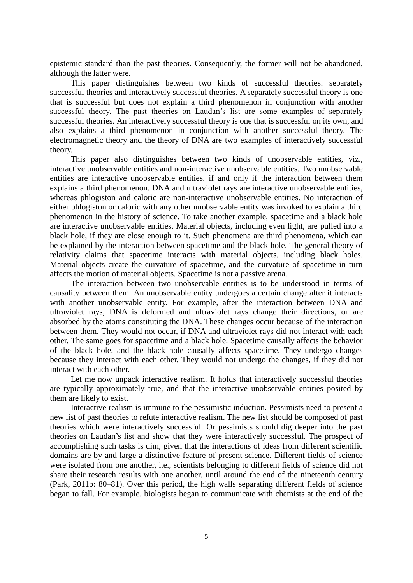epistemic standard than the past theories. Consequently, the former will not be abandoned, although the latter were.

This paper distinguishes between two kinds of successful theories: separately successful theories and interactively successful theories. A separately successful theory is one that is successful but does not explain a third phenomenon in conjunction with another successful theory. The past theories on Laudan's list are some examples of separately successful theories. An interactively successful theory is one that is successful on its own, and also explains a third phenomenon in conjunction with another successful theory. The electromagnetic theory and the theory of DNA are two examples of interactively successful theory.

This paper also distinguishes between two kinds of unobservable entities, viz., interactive unobservable entities and non-interactive unobservable entities. Two unobservable entities are interactive unobservable entities, if and only if the interaction between them explains a third phenomenon. DNA and ultraviolet rays are interactive unobservable entities, whereas phlogiston and caloric are non-interactive unobservable entities. No interaction of either phlogiston or caloric with any other unobservable entity was invoked to explain a third phenomenon in the history of science. To take another example, spacetime and a black hole are interactive unobservable entities. Material objects, including even light, are pulled into a black hole, if they are close enough to it. Such phenomena are third phenomena, which can be explained by the interaction between spacetime and the black hole. The general theory of relativity claims that spacetime interacts with material objects, including black holes. Material objects create the curvature of spacetime, and the curvature of spacetime in turn affects the motion of material objects. Spacetime is not a passive arena.

The interaction between two unobservable entities is to be understood in terms of causality between them. An unobservable entity undergoes a certain change after it interacts with another unobservable entity. For example, after the interaction between DNA and ultraviolet rays, DNA is deformed and ultraviolet rays change their directions, or are absorbed by the atoms constituting the DNA. These changes occur because of the interaction between them. They would not occur, if DNA and ultraviolet rays did not interact with each other. The same goes for spacetime and a black hole. Spacetime causally affects the behavior of the black hole, and the black hole causally affects spacetime. They undergo changes because they interact with each other. They would not undergo the changes, if they did not interact with each other.

Let me now unpack interactive realism. It holds that interactively successful theories are typically approximately true, and that the interactive unobservable entities posited by them are likely to exist.

Interactive realism is immune to the pessimistic induction. Pessimists need to present a new list of past theories to refute interactive realism. The new list should be composed of past theories which were interactively successful. Or pessimists should dig deeper into the past theories on Laudan's list and show that they were interactively successful. The prospect of accomplishing such tasks is dim, given that the interactions of ideas from different scientific domains are by and large a distinctive feature of present science. Different fields of science were isolated from one another, i.e., scientists belonging to different fields of science did not share their research results with one another, until around the end of the nineteenth century (Park, 2011b: 80–81). Over this period, the high walls separating different fields of science began to fall. For example, biologists began to communicate with chemists at the end of the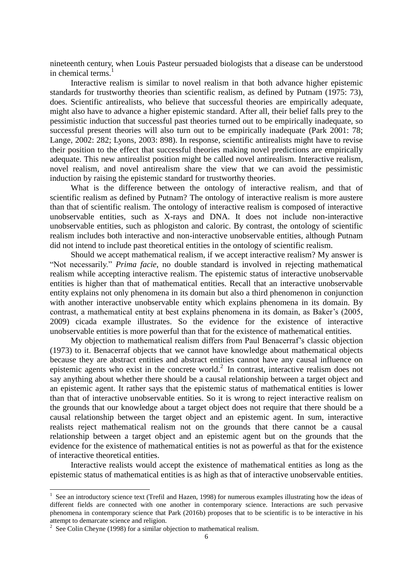nineteenth century, when Louis Pasteur persuaded biologists that a disease can be understood in chemical terms.<sup>1</sup>

Interactive realism is similar to novel realism in that both advance higher epistemic standards for trustworthy theories than scientific realism, as defined by Putnam (1975: 73), does. Scientific antirealists, who believe that successful theories are empirically adequate, might also have to advance a higher epistemic standard. After all, their belief falls prey to the pessimistic induction that successful past theories turned out to be empirically inadequate, so successful present theories will also turn out to be empirically inadequate (Park 2001: 78; Lange, 2002: 282; Lyons, 2003: 898). In response, scientific antirealists might have to revise their position to the effect that successful theories making novel predictions are empirically adequate. This new antirealist position might be called novel antirealism. Interactive realism, novel realism, and novel antirealism share the view that we can avoid the pessimistic induction by raising the epistemic standard for trustworthy theories.

What is the difference between the ontology of interactive realism, and that of scientific realism as defined by Putnam? The ontology of interactive realism is more austere than that of scientific realism. The ontology of interactive realism is composed of interactive unobservable entities, such as X-rays and DNA. It does not include non-interactive unobservable entities, such as phlogiston and caloric. By contrast, the ontology of scientific realism includes both interactive and non-interactive unobservable entities, although Putnam did not intend to include past theoretical entities in the ontology of scientific realism.

Should we accept mathematical realism, if we accept interactive realism? My answer is "Not necessarily." *Prima facie*, no double standard is involved in rejecting mathematical realism while accepting interactive realism. The epistemic status of interactive unobservable entities is higher than that of mathematical entities. Recall that an interactive unobservable entity explains not only phenomena in its domain but also a third phenomenon in conjunction with another interactive unobservable entity which explains phenomena in its domain. By contrast, a mathematical entity at best explains phenomena in its domain, as Baker's (2005, 2009) cicada example illustrates. So the evidence for the existence of interactive unobservable entities is more powerful than that for the existence of mathematical entities.

My objection to mathematical realism differs from Paul Benacerraf's classic objection (1973) to it. Benacerraf objects that we cannot have knowledge about mathematical objects because they are abstract entities and abstract entities cannot have any causal influence on epistemic agents who exist in the concrete world. $2$  In contrast, interactive realism does not say anything about whether there should be a causal relationship between a target object and an epistemic agent. It rather says that the epistemic status of mathematical entities is lower than that of interactive unobservable entities. So it is wrong to reject interactive realism on the grounds that our knowledge about a target object does not require that there should be a causal relationship between the target object and an epistemic agent. In sum, interactive realists reject mathematical realism not on the grounds that there cannot be a causal relationship between a target object and an epistemic agent but on the grounds that the evidence for the existence of mathematical entities is not as powerful as that for the existence of interactive theoretical entities.

Interactive realists would accept the existence of mathematical entities as long as the epistemic status of mathematical entities is as high as that of interactive unobservable entities.

1

<sup>&</sup>lt;sup>1</sup> See an introductory science text (Trefil and Hazen, 1998) for numerous examples illustrating how the ideas of different fields are connected with one another in contemporary science. Interactions are such pervasive phenomena in contemporary science that Park (2016b) proposes that to be scientific is to be interactive in his attempt to demarcate science and religion.

 $2^2$  See Colin Cheyne (1998) for a similar objection to mathematical realism.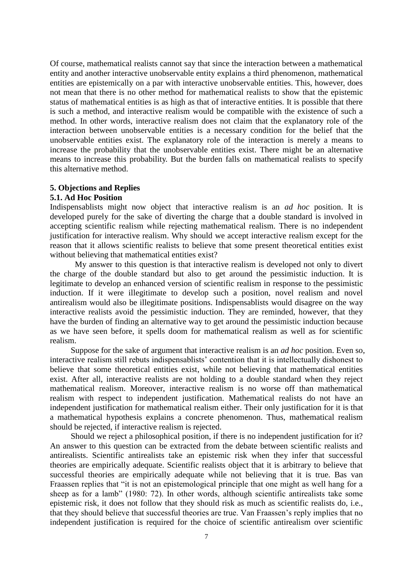Of course, mathematical realists cannot say that since the interaction between a mathematical entity and another interactive unobservable entity explains a third phenomenon, mathematical entities are epistemically on a par with interactive unobservable entities. This, however, does not mean that there is no other method for mathematical realists to show that the epistemic status of mathematical entities is as high as that of interactive entities. It is possible that there is such a method, and interactive realism would be compatible with the existence of such a method. In other words, interactive realism does not claim that the explanatory role of the interaction between unobservable entities is a necessary condition for the belief that the unobservable entities exist. The explanatory role of the interaction is merely a means to increase the probability that the unobservable entities exist. There might be an alternative means to increase this probability. But the burden falls on mathematical realists to specify this alternative method.

### **5. Objections and Replies**

# **5.1. Ad Hoc Position**

Indispensablists might now object that interactive realism is an *ad hoc* position. It is developed purely for the sake of diverting the charge that a double standard is involved in accepting scientific realism while rejecting mathematical realism. There is no independent justification for interactive realism. Why should we accept interactive realism except for the reason that it allows scientific realists to believe that some present theoretical entities exist without believing that mathematical entities exist?

My answer to this question is that interactive realism is developed not only to divert the charge of the double standard but also to get around the pessimistic induction. It is legitimate to develop an enhanced version of scientific realism in response to the pessimistic induction. If it were illegitimate to develop such a position, novel realism and novel antirealism would also be illegitimate positions. Indispensablists would disagree on the way interactive realists avoid the pessimistic induction. They are reminded, however, that they have the burden of finding an alternative way to get around the pessimistic induction because as we have seen before, it spells doom for mathematical realism as well as for scientific realism.

 Suppose for the sake of argument that interactive realism is an *ad hoc* position. Even so, interactive realism still rebuts indispensablists' contention that it is intellectually dishonest to believe that some theoretical entities exist, while not believing that mathematical entities exist. After all, interactive realists are not holding to a double standard when they reject mathematical realism. Moreover, interactive realism is no worse off than mathematical realism with respect to independent justification. Mathematical realists do not have an independent justification for mathematical realism either. Their only justification for it is that a mathematical hypothesis explains a concrete phenomenon. Thus, mathematical realism should be rejected, if interactive realism is rejected.

Should we reject a philosophical position, if there is no independent justification for it? An answer to this question can be extracted from the debate between scientific realists and antirealists. Scientific antirealists take an epistemic risk when they infer that successful theories are empirically adequate. Scientific realists object that it is arbitrary to believe that successful theories are empirically adequate while not believing that it is true. Bas van Fraassen replies that "it is not an epistemological principle that one might as well hang for a sheep as for a lamb" (1980: 72). In other words, although scientific antirealists take some epistemic risk, it does not follow that they should risk as much as scientific realists do, i.e., that they should believe that successful theories are true. Van Fraassen's reply implies that no independent justification is required for the choice of scientific antirealism over scientific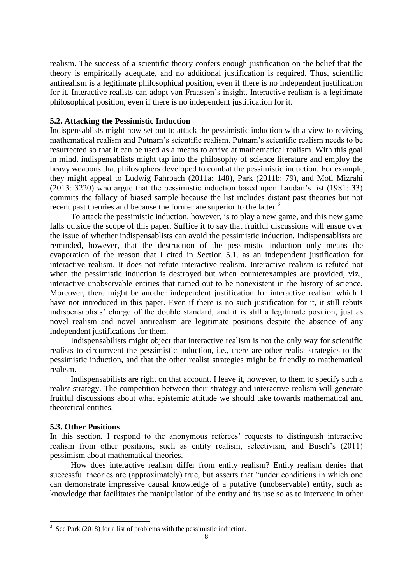realism. The success of a scientific theory confers enough justification on the belief that the theory is empirically adequate, and no additional justification is required. Thus, scientific antirealism is a legitimate philosophical position, even if there is no independent justification for it. Interactive realists can adopt van Fraassen's insight. Interactive realism is a legitimate philosophical position, even if there is no independent justification for it.

## **5.2. Attacking the Pessimistic Induction**

Indispensablists might now set out to attack the pessimistic induction with a view to reviving mathematical realism and Putnam's scientific realism. Putnam's scientific realism needs to be resurrected so that it can be used as a means to arrive at mathematical realism. With this goal in mind, indispensablists might tap into the philosophy of science literature and employ the heavy weapons that philosophers developed to combat the pessimistic induction. For example, they might appeal to Ludwig Fahrbach (2011a: 148), Park (2011b: 79), and Moti Mizrahi (2013: 3220) who argue that the pessimistic induction based upon Laudan's list (1981: 33) commits the fallacy of biased sample because the list includes distant past theories but not recent past theories and because the former are superior to the latter.<sup>3</sup>

To attack the pessimistic induction, however, is to play a new game, and this new game falls outside the scope of this paper. Suffice it to say that fruitful discussions will ensue over the issue of whether indispensablists can avoid the pessimistic induction. Indispensablists are reminded, however, that the destruction of the pessimistic induction only means the evaporation of the reason that I cited in Section 5.1. as an independent justification for interactive realism. It does not refute interactive realism. Interactive realism is refuted not when the pessimistic induction is destroyed but when counterexamples are provided, viz., interactive unobservable entities that turned out to be nonexistent in the history of science. Moreover, there might be another independent justification for interactive realism which I have not introduced in this paper. Even if there is no such justification for it, it still rebuts indispensablists' charge of the double standard, and it is still a legitimate position, just as novel realism and novel antirealism are legitimate positions despite the absence of any independent justifications for them.

Indispensabilists might object that interactive realism is not the only way for scientific realists to circumvent the pessimistic induction, i.e., there are other realist strategies to the pessimistic induction, and that the other realist strategies might be friendly to mathematical realism.

Indispensabilists are right on that account. I leave it, however, to them to specify such a realist strategy. The competition between their strategy and interactive realism will generate fruitful discussions about what epistemic attitude we should take towards mathematical and theoretical entities.

#### **5.3. Other Positions**

In this section, I respond to the anonymous referees' requests to distinguish interactive realism from other positions, such as entity realism, selectivism, and Busch's (2011) pessimism about mathematical theories.

How does interactive realism differ from entity realism? Entity realism denies that successful theories are (approximately) true, but asserts that "under conditions in which one can demonstrate impressive causal knowledge of a putative (unobservable) entity, such as knowledge that facilitates the manipulation of the entity and its use so as to intervene in other

<sup>&</sup>lt;sup>3</sup> See Park (2018) for a list of problems with the pessimistic induction.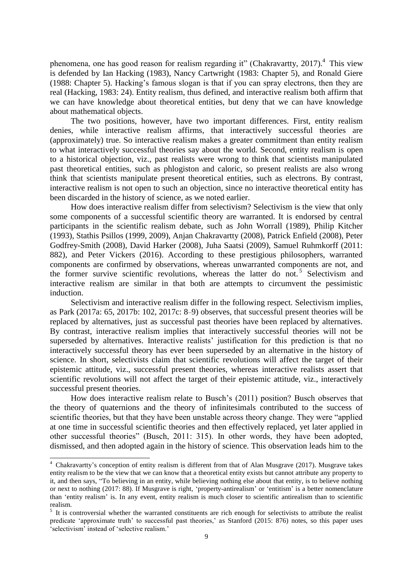phenomena, one has good reason for realism regarding it" (Chakravartty, 2017).<sup>4</sup> This view is defended by Ian Hacking (1983), Nancy Cartwright (1983: Chapter 5), and Ronald Giere (1988: Chapter 5). Hacking's famous slogan is that if you can spray electrons, then they are real (Hacking, 1983: 24). Entity realism, thus defined, and interactive realism both affirm that we can have knowledge about theoretical entities, but deny that we can have knowledge about mathematical objects.

The two positions, however, have two important differences. First, entity realism denies, while interactive realism affirms, that interactively successful theories are (approximately) true. So interactive realism makes a greater commitment than entity realism to what interactively successful theories say about the world. Second, entity realism is open to a historical objection, viz., past realists were wrong to think that scientists manipulated past theoretical entities, such as phlogiston and caloric, so present realists are also wrong think that scientists manipulate present theoretical entities, such as electrons. By contrast, interactive realism is not open to such an objection, since no interactive theoretical entity has been discarded in the history of science, as we noted earlier.

How does interactive realism differ from selectivism? Selectivism is the view that only some components of a successful scientific theory are warranted. It is endorsed by central participants in the scientific realism debate, such as John Worrall (1989), Philip Kitcher (1993), Stathis Psillos (1999, 2009), Anjan Chakravartty (2008), Patrick Enfield (2008), Peter Godfrey-Smith (2008), David Harker (2008), Juha Saatsi (2009), Samuel Ruhmkorff (2011: 882), and Peter Vickers (2016). According to these prestigious philosophers, warranted components are confirmed by observations, whereas unwarranted components are not, and the former survive scientific revolutions, whereas the latter do not.<sup>5</sup> Selectivism and interactive realism are similar in that both are attempts to circumvent the pessimistic induction.

Selectivism and interactive realism differ in the following respect. Selectivism implies, as Park (2017a: 65, 2017b: 102, 2017c: 8–9) observes, that successful present theories will be replaced by alternatives, just as successful past theories have been replaced by alternatives. By contrast, interactive realism implies that interactively successful theories will not be superseded by alternatives. Interactive realists' justification for this prediction is that no interactively successful theory has ever been superseded by an alternative in the history of science. In short, selectivists claim that scientific revolutions will affect the target of their epistemic attitude, viz., successful present theories, whereas interactive realists assert that scientific revolutions will not affect the target of their epistemic attitude, viz., interactively successful present theories.

How does interactive realism relate to Busch's (2011) position? Busch observes that the theory of quaternions and the theory of infinitesimals contributed to the success of scientific theories, but that they have been unstable across theory change. They were "applied at one time in successful scientific theories and then effectively replaced, yet later applied in other successful theories" (Busch, 2011: 315). In other words, they have been adopted, dismissed, and then adopted again in the history of science. This observation leads him to the

-

<sup>4</sup> Chakravartty's conception of entity realism is different from that of Alan Musgrave (2017). Musgrave takes entity realism to be the view that we can know that a theoretical entity exists but cannot attribute any property to it, and then says, "To believing in an entity, while believing nothing else about that entity, is to believe nothing or next to nothing (2017: 88). If Musgrave is right, 'property-antirealism' or 'entitism' is a better nomenclature than 'entity realism' is. In any event, entity realism is much closer to scientific antirealism than to scientific realism.

<sup>&</sup>lt;sup>5</sup> It is controversial whether the warranted constituents are rich enough for selectivists to attribute the realist predicate 'approximate truth' to successful past theories,' as Stanford (2015: 876) notes, so this paper uses 'selectivism' instead of 'selective realism.'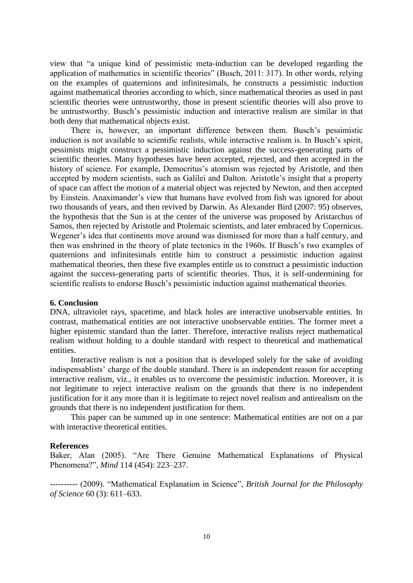view that "a unique kind of pessimistic meta-induction can be developed regarding the application of mathematics in scientific theories" (Busch, 2011: 317). In other words, relying on the examples of quaternions and infinitesimals, he constructs a pessimistic induction against mathematical theories according to which, since mathematical theories as used in past scientific theories were untrustworthy, those in present scientific theories will also prove to be untrustworthy. Busch's pessimistic induction and interactive realism are similar in that both deny that mathematical objects exist.

There is, however, an important difference between them. Busch's pessimistic induction is not available to scientific realists, while interactive realism is. In Busch's spirit, pessimists might construct a pessimistic induction against the success-generating parts of scientific theories. Many hypotheses have been accepted, rejected, and then accepted in the history of science. For example, Democritus's atomism was rejected by Aristotle, and then accepted by modern scientists, such as Galilei and Dalton. Aristotle's insight that a property of space can affect the motion of a material object was rejected by Newton, and then accepted by Einstein. Anaximander's view that humans have evolved from fish was ignored for about two thousands of years, and then revived by Darwin. As Alexander Bird (2007: 95) observes, the hypothesis that the Sun is at the center of the universe was proposed by Aristarchus of Samos, then rejected by Aristotle and Ptolemaic scientists, and later embraced by Copernicus. Wegener's idea that continents move around was dismissed for more than a half century, and then was enshrined in the theory of plate tectonics in the 1960s. If Busch's two examples of quaternions and infinitesimals entitle him to construct a pessimistic induction against mathematical theories, then these five examples entitle us to construct a pessimistic induction against the success-generating parts of scientific theories. Thus, it is self-undermining for scientific realists to endorse Busch's pessimistic induction against mathematical theories.

## **6. Conclusion**

DNA, ultraviolet rays, spacetime, and black holes are interactive unobservable entities. In contrast, mathematical entities are not interactive unobservable entities. The former meet a higher epistemic standard than the latter. Therefore, interactive realists reject mathematical realism without holding to a double standard with respect to theoretical and mathematical entities.

 Interactive realism is not a position that is developed solely for the sake of avoiding indispensablists' charge of the double standard. There is an independent reason for accepting interactive realism, viz., it enables us to overcome the pessimistic induction. Moreover, it is not legitimate to reject interactive realism on the grounds that there is no independent justification for it any more than it is legitimate to reject novel realism and antirealism on the grounds that there is no independent justification for them.

This paper can be summed up in one sentence: Mathematical entities are not on a par with interactive theoretical entities.

### **References**

Baker, Alan (2005). "Are There Genuine Mathematical Explanations of Physical Phenomena?", *Mind* 114 (454): 223–237.

---------- (2009). "Mathematical Explanation in Science", *British Journal for the Philosophy of Science* 60 (3): 611–633.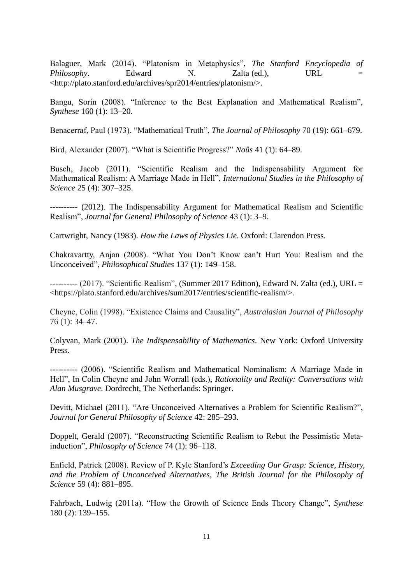Balaguer, Mark (2014). "Platonism in Metaphysics", *The Stanford Encyclopedia of Philosophy*. Edward N. Zalta (ed.), URL = <http://plato.stanford.edu/archives/spr2014/entries/platonism/>.

Bangu, Sorin (2008). "Inference to the Best Explanation and Mathematical Realism", *Synthese* 160 (1): 13–20.

Benacerraf, Paul (1973). "Mathematical Truth", *The Journal of Philosophy* 70 (19): 661–679.

Bird, Alexander (2007). "What is Scientific Progress?" *Noûs* 41 (1): 64–89.

Busch, Jacob (2011). "Scientific Realism and the Indispensability Argument for Mathematical Realism: A Marriage Made in Hell", *International Studies in the Philosophy of Science* 25 (4): 307–325.

---------- (2012). The Indispensability Argument for Mathematical Realism and Scientific Realism", *Journal for General Philosophy of Science* 43 (1): 3–9.

Cartwright, Nancy (1983). *How the Laws of Physics Lie*. Oxford: Clarendon Press.

Chakravartty, Anjan (2008). "What You Don't Know can't Hurt You: Realism and the Unconceived", *Philosophical Studies* 137 (1): 149–158.

---------- (2017). "Scientific Realism", (Summer 2017 Edition), Edward N. Zalta (ed.), URL = <https://plato.stanford.edu/archives/sum2017/entries/scientific-realism/>.

Cheyne, Colin (1998). "Existence Claims and Causality", *Australasian Journal of Philosophy* 76 (1): 34–47.

Colyvan, Mark (2001). *The Indispensability of Mathematics*. New York: Oxford University Press.

---------- (2006). "Scientific Realism and Mathematical Nominalism: A Marriage Made in Hell", In Colin Cheyne and John Worrall (eds.), *Rationality and Reality: Conversations with Alan Musgrave*. Dordrecht, The Netherlands: Springer.

Devitt, Michael (2011). "Are Unconceived Alternatives a Problem for Scientific Realism?", *Journal for General Philosophy of Science* 42: 285–293.

Doppelt, Gerald (2007). "Reconstructing Scientific Realism to Rebut the Pessimistic Metainduction", *Philosophy of Science* 74 (1): 96–118.

Enfield, Patrick (2008). Review of P. Kyle Stanford's *Exceeding Our Grasp: Science, History, and the Problem of Unconceived Alternatives*, *The British Journal for the Philosophy of Science* 59 (4): 881–895.

Fahrbach, Ludwig (2011a). "How the Growth of Science Ends Theory Change", *Synthese* 180 (2): 139–155.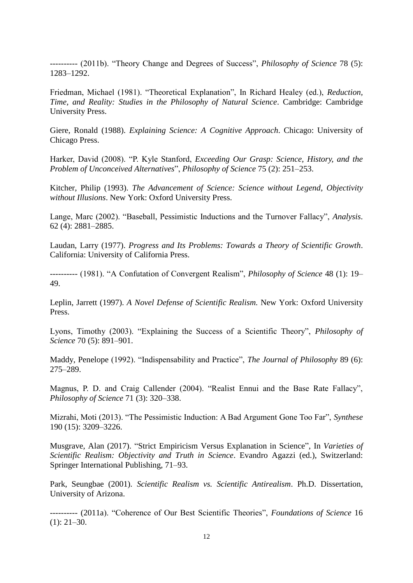---------- (2011b). "Theory Change and Degrees of Success", *Philosophy of Science* 78 (5): 1283–1292.

Friedman, Michael (1981). "Theoretical Explanation", In Richard Healey (ed.), *Reduction, Time, and Reality: Studies in the Philosophy of Natural Science*. Cambridge: Cambridge University Press.

Giere, Ronald (1988). *Explaining Science: A Cognitive Approach*. Chicago: University of Chicago Press.

Harker, David (2008). "P. Kyle Stanford, *Exceeding Our Grasp: Science, History, and the Problem of Unconceived Alternatives*", *Philosophy of Science* 75 (2): 251–253.

Kitcher, Philip (1993). *The Advancement of Science: Science without Legend, Objectivity without Illusions*. New York: Oxford University Press.

Lange, Marc (2002). "Baseball, Pessimistic Inductions and the Turnover Fallacy", *Analysis*. 62 (4): 2881–2885.

Laudan, Larry (1977). *Progress and Its Problems: Towards a Theory of Scientific Growth*. California: University of California Press.

---------- (1981). "A Confutation of Convergent Realism", *Philosophy of Science* 48 (1): 19– 49.

Leplin, Jarrett (1997). *A Novel Defense of Scientific Realism.* New York: Oxford University Press.

Lyons, Timothy (2003). "Explaining the Success of a Scientific Theory", *Philosophy of Science* 70 (5): 891–901.

Maddy, Penelope (1992). "Indispensability and Practice", *The Journal of Philosophy* 89 (6): 275–289.

Magnus, P. D. and Craig Callender (2004). "Realist Ennui and the Base Rate Fallacy", *Philosophy of Science* 71 (3): 320–338.

Mizrahi, Moti (2013). "The Pessimistic Induction: A Bad Argument Gone Too Far", *Synthese* 190 (15): 3209–3226.

Musgrave, Alan (2017). "Strict Empiricism Versus Explanation in Science", In *Varieties of Scientific Realism: Objectivity and Truth in Science*. Evandro Agazzi (ed.), Switzerland: Springer International Publishing, 71–93.

Park, Seungbae (2001). *Scientific Realism vs. Scientific Antirealism*. Ph.D. Dissertation, University of Arizona.

---------- (2011a). "Coherence of Our Best Scientific Theories", *Foundations of Science* 16  $(1): 21-30.$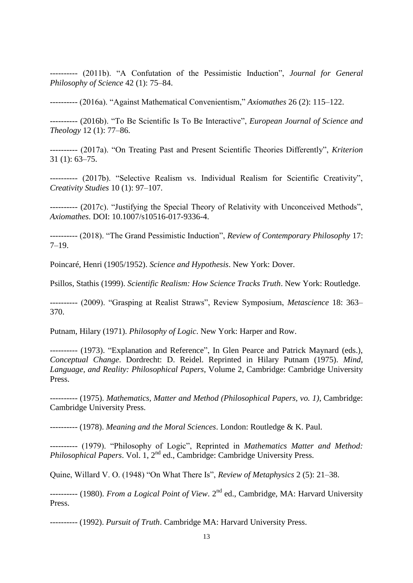---------- (2011b). "A Confutation of the Pessimistic Induction", *Journal for General Philosophy of Science* 42 (1): 75–84.

---------- (2016a). "Against Mathematical Convenientism," *Axiomathes* 26 (2): 115–122.

---------- (2016b). "To Be Scientific Is To Be Interactive", *European Journal of Science and Theology* 12 (1): 77–86.

---------- (2017a). "On Treating Past and Present Scientific Theories Differently", *Kriterion* 31 (1): 63–75.

---------- (2017b). "Selective Realism vs. Individual Realism for Scientific Creativity", *Creativity Studies* 10 (1): 97–107.

---------- (2017c). "Justifying the Special Theory of Relativity with Unconceived Methods", *Axiomathes*. DOI: 10.1007/s10516-017-9336-4.

---------- (2018). "The Grand Pessimistic Induction", *Review of Contemporary Philosophy* 17: 7–19.

Poincaré, Henri (1905/1952). *Science and Hypothesis*. New York: Dover.

Psillos, Stathis (1999). *Scientific Realism: How Science Tracks Truth*. New York: Routledge.

---------- (2009). "Grasping at Realist Straws", Review Symposium, *Metascience* 18: 363– 370.

Putnam, Hilary (1971). *Philosophy of Logic*. New York: Harper and Row.

---------- (1973). "Explanation and Reference", In Glen Pearce and Patrick Maynard (eds.), *Conceptual Change*. Dordrecht: D. Reidel. Reprinted in Hilary Putnam (1975). *Mind, Language, and Reality: Philosophical Papers*, Volume 2, Cambridge: Cambridge University Press.

---------- (1975). *Mathematics, Matter and Method (Philosophical Papers, vo. 1)*, Cambridge: Cambridge University Press.

---------- (1978). *Meaning and the Moral Sciences*. London: Routledge & K. Paul.

---------- (1979). "Philosophy of Logic", Reprinted in *Mathematics Matter and Method: Philosophical Papers.* Vol. 1, 2<sup>nd</sup> ed., Cambridge: Cambridge University Press.

Quine, Willard V. O. (1948) "On What There Is", *Review of Metaphysics* 2 (5): 21–38.

---------- (1980). *From a Logical Point of View*. 2nd ed., Cambridge, MA: Harvard University Press.

---------- (1992). *Pursuit of Truth*. Cambridge MA: Harvard University Press.